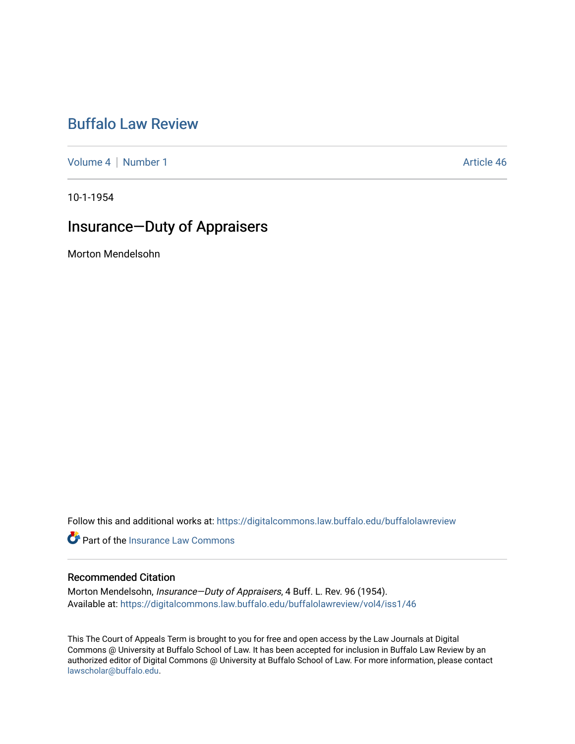# [Buffalo Law Review](https://digitalcommons.law.buffalo.edu/buffalolawreview)

[Volume 4](https://digitalcommons.law.buffalo.edu/buffalolawreview/vol4) | [Number 1](https://digitalcommons.law.buffalo.edu/buffalolawreview/vol4/iss1) Article 46

10-1-1954

## Insurance—Duty of Appraisers

Morton Mendelsohn

Follow this and additional works at: [https://digitalcommons.law.buffalo.edu/buffalolawreview](https://digitalcommons.law.buffalo.edu/buffalolawreview?utm_source=digitalcommons.law.buffalo.edu%2Fbuffalolawreview%2Fvol4%2Fiss1%2F46&utm_medium=PDF&utm_campaign=PDFCoverPages) 

**C** Part of the [Insurance Law Commons](http://network.bepress.com/hgg/discipline/607?utm_source=digitalcommons.law.buffalo.edu%2Fbuffalolawreview%2Fvol4%2Fiss1%2F46&utm_medium=PDF&utm_campaign=PDFCoverPages)

## Recommended Citation

Morton Mendelsohn, Insurance—Duty of Appraisers, 4 Buff. L. Rev. 96 (1954). Available at: [https://digitalcommons.law.buffalo.edu/buffalolawreview/vol4/iss1/46](https://digitalcommons.law.buffalo.edu/buffalolawreview/vol4/iss1/46?utm_source=digitalcommons.law.buffalo.edu%2Fbuffalolawreview%2Fvol4%2Fiss1%2F46&utm_medium=PDF&utm_campaign=PDFCoverPages) 

This The Court of Appeals Term is brought to you for free and open access by the Law Journals at Digital Commons @ University at Buffalo School of Law. It has been accepted for inclusion in Buffalo Law Review by an authorized editor of Digital Commons @ University at Buffalo School of Law. For more information, please contact [lawscholar@buffalo.edu](mailto:lawscholar@buffalo.edu).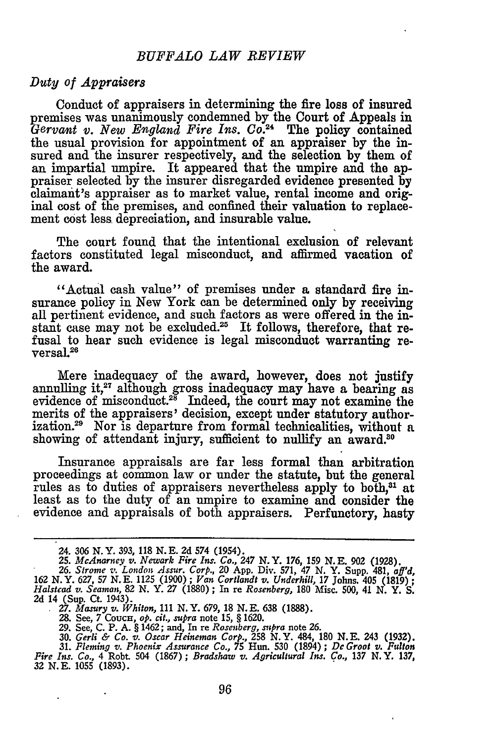### *Duty of Appraisers*

Conduct of appraisers in determining the fire loss of insured premises was unanimously condemned by the Court of Appeals in *Gervant v. New England Fire Ins. Co.2'* The policy contained the usual provision for appointment of an appraiser by the insured and the insurer respectively, and the selection by them of an impartial umpire. It appeared that the umpire and the appraiser selected by the insurer disregarded evidence presented by claimant's appraiser as to market value, rental income and original cost of the premises, and confined their valuation to replacement cost less depreciation, and insurable value.

The court found that the intentional exclusion of relevant factors constituted legal misconduct, and affirmed vacation of the award.

"Actual cash value" of premises under a standard fire insurance policy in New York can be determined only by receiving all pertinent evidence, and such factors as were offered in the instant case may not be excluded.<sup>25</sup> It follows, therefore, that refusal to hear such evidence is legal misconduct warranting reversal.26

Mere inadequacy of the award, however, does not justify annulling **it,27** although gross inadequacy may have a bearing as evidence of misconduct.<sup>28</sup> Indeed, the court may not examine the merits of the appraisers' decision, except under statutory authorization.29 Nor is departure from formal technicalities, without a showing of attendant injury, sufficient to nullify an award.<sup>30</sup>

Insurance appraisals are far less formal than arbitration proceedings at common law or under the statute, but the general rules as to duties of appraisers nevertheless apply to both,<sup>31</sup> at least as to the duty of an umpire to examine and consider the evidence and appraisals of both appraisers. Perfunctory, hasty

<sup>24.</sup> **306** N.Y. **393, 118 N. E. 2d** 574 (1954). *25. McAnarney v. Newark Fire Ins. Co., 247* N.Y. 176, **159 N.E. 902 (1928).**

*<sup>26.</sup>* Strome *v. London Assur. Corp.,* 20 App. Div. 571, 47 **N.** Y. Supp. 481, *aff'd,* **162** N.Y. 627, **57 N.E.** 1125 (1900) *; Van Cortlandt v. Underhill,* 17 Johns. 405 (1819) **;** *Halstcad v. Seaman, 82* N. Y. *27* (1880) ; In re *Rosenberg,* **180** Misc. **500,** 41 *N.* Y. S. 2d 14 (Sup. **Ct.** 1943). *27. Masury v. Whiton,* 111 N.Y. 679, **18 N.E. 638** (1888).

**<sup>28.</sup>** See, 7 CoucH, *op. cit., supra* note **15,** § 1620.

**<sup>29.</sup>** See, C. P. A. § 1462; and, In re *Rosenberg, supra* note **26.**

<sup>30.</sup> Gerli & Co. v. Oscar Heineman Corp., 258 N. Y. 484, 180 N. E. 243 (1932).<br>31. Fleming v. Phoenix Assurance Co., 75 Hun. 530 (1894); De Groot v. Fulton<br>Fire Ins. Co., 4 Robt. 504 (1867); Bradshaw v. Agricultural Ins. Co 32 **N.E.** 1055 (1893).